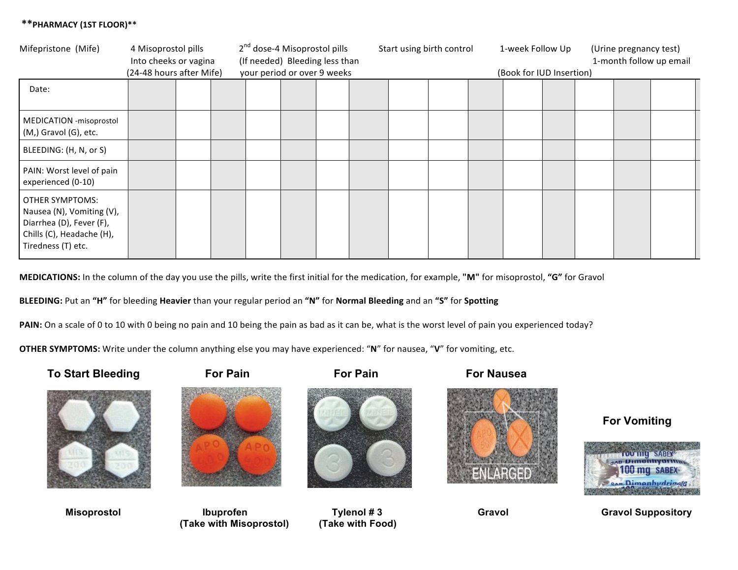## **\*\*PHARMACY (1ST FLOOR)\*\***

| Mifepristone (Mife)                                                                                                         | 4 Misoprostol pills<br>Into cheeks or vagina<br>(24-48 hours after Mife) |  |  | 2 <sup>nd</sup> dose-4 Misoprostol pills<br>(If needed) Bleeding less than<br>your period or over 9 weeks |  |  |  | Start using birth control |  |  | 1-week Follow Up<br>(Book for IUD Insertion) |  | (Urine pregnancy test)<br>1-month follow up email |  |  |  |
|-----------------------------------------------------------------------------------------------------------------------------|--------------------------------------------------------------------------|--|--|-----------------------------------------------------------------------------------------------------------|--|--|--|---------------------------|--|--|----------------------------------------------|--|---------------------------------------------------|--|--|--|
| Date:                                                                                                                       |                                                                          |  |  |                                                                                                           |  |  |  |                           |  |  |                                              |  |                                                   |  |  |  |
| MEDICATION - misoprostol<br>$(M,)$ Gravol (G), etc.                                                                         |                                                                          |  |  |                                                                                                           |  |  |  |                           |  |  |                                              |  |                                                   |  |  |  |
| BLEEDING: (H, N, or S)                                                                                                      |                                                                          |  |  |                                                                                                           |  |  |  |                           |  |  |                                              |  |                                                   |  |  |  |
| PAIN: Worst level of pain<br>experienced (0-10)                                                                             |                                                                          |  |  |                                                                                                           |  |  |  |                           |  |  |                                              |  |                                                   |  |  |  |
| OTHER SYMPTOMS:<br>Nausea (N), Vomiting (V),<br>Diarrhea (D), Fever (F),<br>Chills (C), Headache (H),<br>Tiredness (T) etc. |                                                                          |  |  |                                                                                                           |  |  |  |                           |  |  |                                              |  |                                                   |  |  |  |

**MEDICATIONS:** In the column of the day you use the pills, write the first initial for the medication, for example, "M" for misoprostol, "G" for Gravol

BLEEDING: Put an "H" for bleeding Heavier than your regular period an "N" for Normal Bleeding and an "S" for Spotting

PAIN: On a scale of 0 to 10 with 0 being no pain and 10 being the pain as bad as it can be, what is the worst level of pain you experienced today?

**OTHER SYMPTOMS:** Write under the column anything else you may have experienced: "N" for nausea, "V" for vomiting, etc.





Misoprostol **Ibuprofen** Ibuprofen Tylenol # 3 Gravol Gravol Gravol Suppository  **(Take with Misoprostol) (Take with Food)**